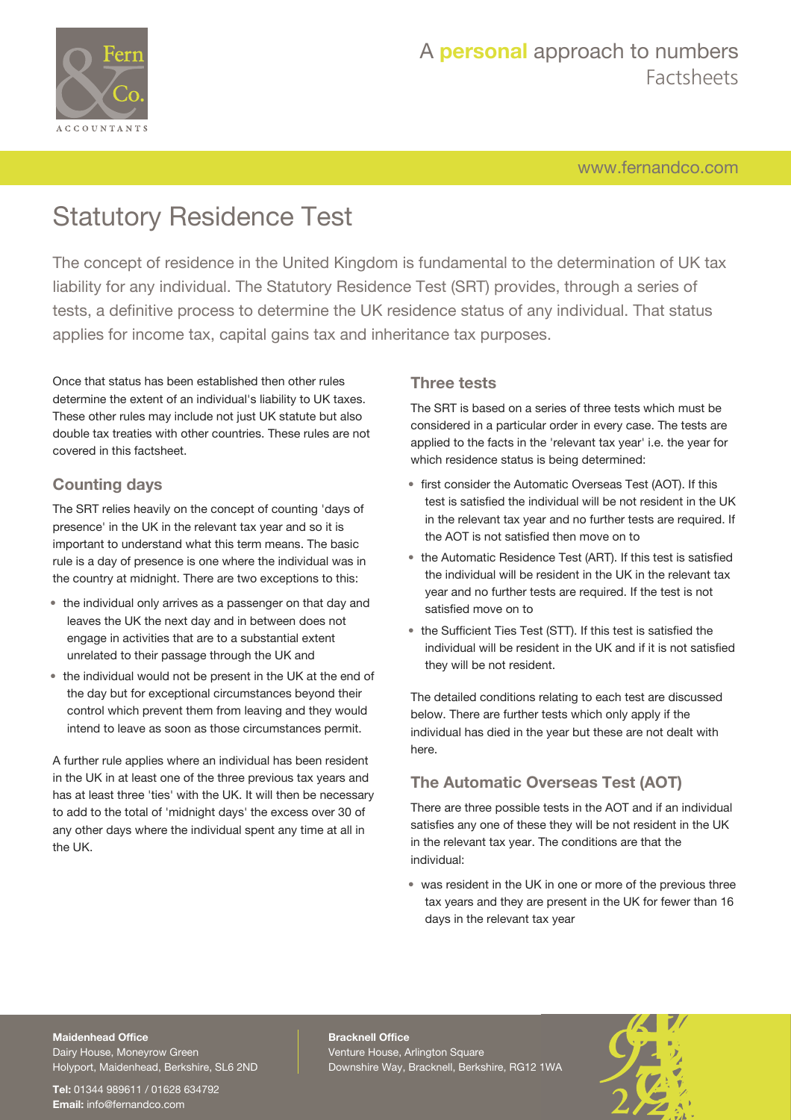

[www.fernandco.com](http://www.fernandco.com)

# Statutory Residence Test

The concept of residence in the United Kingdom is fundamental to the determination of UK tax liability for any individual. The Statutory Residence Test (SRT) provides, through a series of tests, a definitive process to determine the UK residence status of any individual. That status applies for income tax, capital gains tax and inheritance tax purposes.

Once that status has been established then other rules determine the extent of an individual's liability to UK taxes. These other rules may include not just UK statute but also double tax treaties with other countries. These rules are not covered in this factsheet.

## **Counting days**

The SRT relies heavily on the concept of counting 'days of presence' in the UK in the relevant tax year and so it is important to understand what this term means. The basic rule is a day of presence is one where the individual was in the country at midnight. There are two exceptions to this:

- the individual only arrives as a passenger on that day and leaves the UK the next day and in between does not engage in activities that are to a substantial extent unrelated to their passage through the UK and
- the individual would not be present in the UK at the end of the day but for exceptional circumstances beyond their control which prevent them from leaving and they would intend to leave as soon as those circumstances permit.

A further rule applies where an individual has been resident in the UK in at least one of the three previous tax years and has at least three 'ties' with the UK. It will then be necessary to add to the total of 'midnight days' the excess over 30 of any other days where the individual spent any time at all in the UK.

## **Three tests**

The SRT is based on a series of three tests which must be considered in a particular order in every case. The tests are applied to the facts in the 'relevant tax year' i.e. the year for which residence status is being determined:

- first consider the Automatic Overseas Test (AOT). If this test is satisfied the individual will be not resident in the UK in the relevant tax year and no further tests are required. If the AOT is not satisfied then move on to
- the Automatic Residence Test (ART). If this test is satisfied the individual will be resident in the UK in the relevant tax year and no further tests are required. If the test is not satisfied move on to
- the Sufficient Ties Test (STT). If this test is satisfied the individual will be resident in the UK and if it is not satisfied they will be not resident.

The detailed conditions relating to each test are discussed below. There are further tests which only apply if the individual has died in the year but these are not dealt with here.

## **The Automatic Overseas Test (AOT)**

There are three possible tests in the AOT and if an individual satisfies any one of these they will be not resident in the UK in the relevant tax year. The conditions are that the individual:

• was resident in the UK in one or more of the previous three tax years and they are present in the UK for fewer than 16 days in the relevant tax year

## **Maidenhead Office**

Dairy House, Moneyrow Green Holyport, Maidenhead, Berkshire, SL6 2ND

**Tel:** 01344 989611 / 01628 634792 **Email:** [info@fernandco.com](mailto:info@fernandco.com)

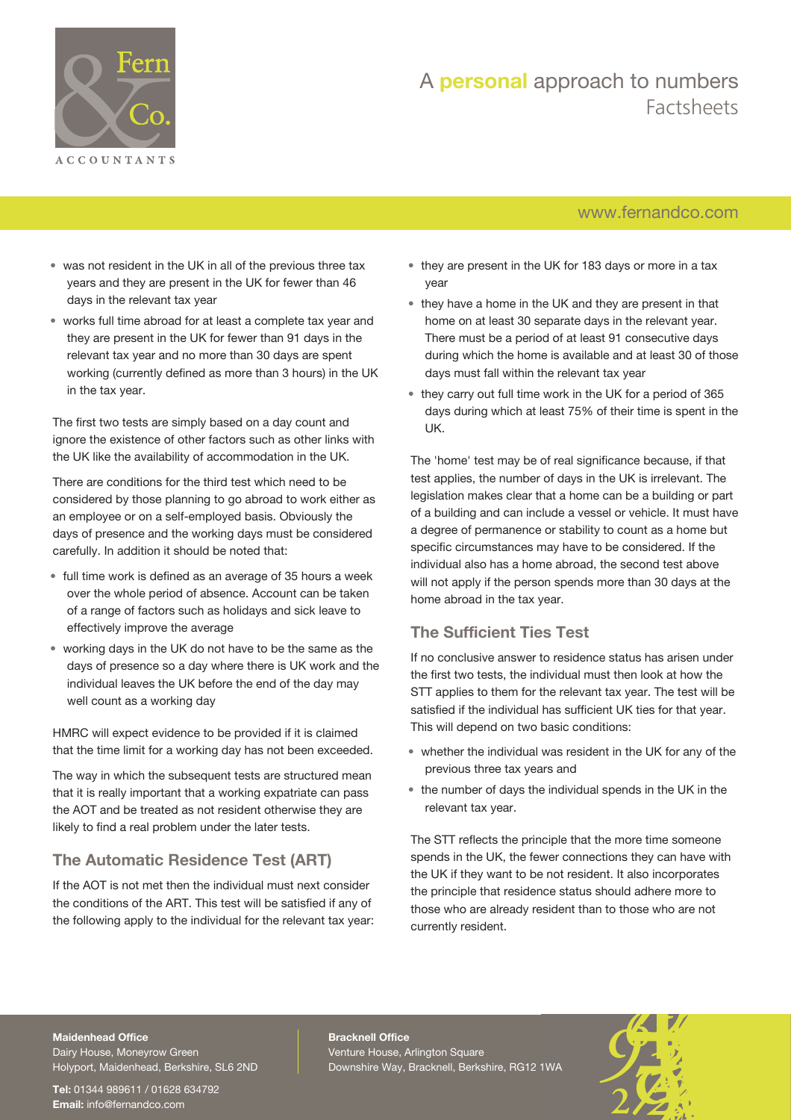

## [www.fernandco.com](http://www.fernandco.com)

- was not resident in the UK in all of the previous three tax years and they are present in the UK for fewer than 46 days in the relevant tax year
- works full time abroad for at least a complete tax year and they are present in the UK for fewer than 91 days in the relevant tax year and no more than 30 days are spent working (currently defined as more than 3 hours) in the UK in the tax year.

The first two tests are simply based on a day count and ignore the existence of other factors such as other links with the UK like the availability of accommodation in the UK.

There are conditions for the third test which need to be considered by those planning to go abroad to work either as an employee or on a self-employed basis. Obviously the days of presence and the working days must be considered carefully. In addition it should be noted that:

- full time work is defined as an average of 35 hours a week over the whole period of absence. Account can be taken of a range of factors such as holidays and sick leave to effectively improve the average
- working days in the UK do not have to be the same as the days of presence so a day where there is UK work and the individual leaves the UK before the end of the day may well count as a working day

HMRC will expect evidence to be provided if it is claimed that the time limit for a working day has not been exceeded.

The way in which the subsequent tests are structured mean that it is really important that a working expatriate can pass the AOT and be treated as not resident otherwise they are likely to find a real problem under the later tests.

## **The Automatic Residence Test (ART)**

If the AOT is not met then the individual must next consider the conditions of the ART. This test will be satisfied if any of the following apply to the individual for the relevant tax year:

- they are present in the UK for 183 days or more in a tax year
- they have a home in the UK and they are present in that home on at least 30 separate days in the relevant year. There must be a period of at least 91 consecutive days during which the home is available and at least 30 of those days must fall within the relevant tax year
- they carry out full time work in the UK for a period of 365 days during which at least 75% of their time is spent in the UK.

The 'home' test may be of real significance because, if that test applies, the number of days in the UK is irrelevant. The legislation makes clear that a home can be a building or part of a building and can include a vessel or vehicle. It must have a degree of permanence or stability to count as a home but specific circumstances may have to be considered. If the individual also has a home abroad, the second test above will not apply if the person spends more than 30 days at the home abroad in the tax year.

## **The Sufficient Ties Test**

If no conclusive answer to residence status has arisen under the first two tests, the individual must then look at how the STT applies to them for the relevant tax year. The test will be satisfied if the individual has sufficient UK ties for that year. This will depend on two basic conditions:

- whether the individual was resident in the UK for any of the previous three tax years and
- the number of days the individual spends in the UK in the relevant tax year.

The STT reflects the principle that the more time someone spends in the UK, the fewer connections they can have with the UK if they want to be not resident. It also incorporates the principle that residence status should adhere more to those who are already resident than to those who are not currently resident.

#### **Maidenhead Office**

Dairy House, Moneyrow Green Holyport, Maidenhead, Berkshire, SL6 2ND

**Tel:** 01344 989611 / 01628 634792 **Email:** [info@fernandco.com](mailto:info@fernandco.com)

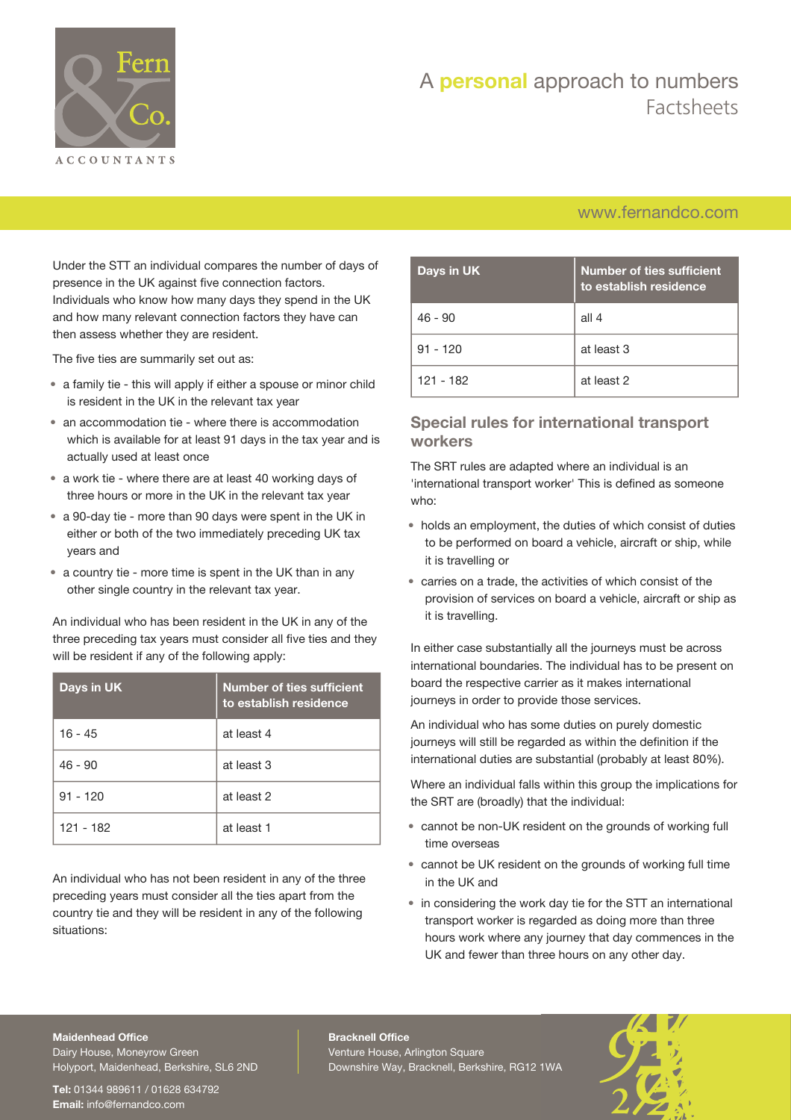

## [www.fernandco.com](http://www.fernandco.com)

Under the STT an individual compares the number of days of presence in the UK against five connection factors. Individuals who know how many days they spend in the UK and how many relevant connection factors they have can then assess whether they are resident.

The five ties are summarily set out as:

- a family tie this will apply if either a spouse or minor child is resident in the UK in the relevant tax year
- an accommodation tie where there is accommodation which is available for at least 91 days in the tax year and is actually used at least once
- a work tie where there are at least 40 working days of three hours or more in the UK in the relevant tax year
- a 90-day tie more than 90 days were spent in the UK in either or both of the two immediately preceding UK tax years and
- a country tie more time is spent in the UK than in any other single country in the relevant tax year.

An individual who has been resident in the UK in any of the three preceding tax years must consider all five ties and they will be resident if any of the following apply:

| Days in UK | <b>Number of ties sufficient</b><br>to establish residence |
|------------|------------------------------------------------------------|
| $16 - 45$  | at least 4                                                 |
| $46 - 90$  | at least 3                                                 |
| $91 - 120$ | at least 2                                                 |
| 121 - 182  | at least 1                                                 |

An individual who has not been resident in any of the three preceding years must consider all the ties apart from the country tie and they will be resident in any of the following situations:

| Days in UK | <b>Number of ties sufficient</b><br>to establish residence |
|------------|------------------------------------------------------------|
| $46 - 90$  | all 4                                                      |
| $91 - 120$ | at least 3                                                 |
| 121 - 182  | at least 2                                                 |

### **Special rules for international transport workers**

The SRT rules are adapted where an individual is an 'international transport worker' This is defined as someone who:

- holds an employment, the duties of which consist of duties to be performed on board a vehicle, aircraft or ship, while it is travelling or
- carries on a trade, the activities of which consist of the provision of services on board a vehicle, aircraft or ship as it is travelling.

In either case substantially all the journeys must be across international boundaries. The individual has to be present on board the respective carrier as it makes international journeys in order to provide those services.

An individual who has some duties on purely domestic journeys will still be regarded as within the definition if the international duties are substantial (probably at least 80%).

Where an individual falls within this group the implications for the SRT are (broadly) that the individual:

- cannot be non-UK resident on the grounds of working full time overseas
- cannot be UK resident on the grounds of working full time in the UK and
- in considering the work day tie for the STT an international transport worker is regarded as doing more than three hours work where any journey that day commences in the UK and fewer than three hours on any other day.

#### **Maidenhead Office**

Dairy House, Moneyrow Green Holyport, Maidenhead, Berkshire, SL6 2ND

**Tel:** 01344 989611 / 01628 634792 **Email:** [info@fernandco.com](mailto:info@fernandco.com)